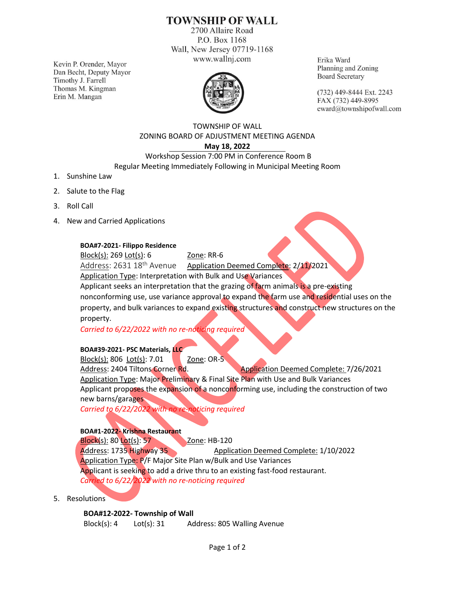# **TOWNSHIP OF WALL**

2700 Allaire Road P.O. Box 1168 Wall, New Jersey 07719-1168 www.wallnj.com

Kevin P. Orender, Mayor Dan Becht, Deputy Mayor Timothy J. Farrell Thomas M. Kingman Erin M. Mangan



Erika Ward Planning and Zoning **Board Secretary** 

(732) 449-8444 Ext. 2243 FAX (732) 449-8995 eward@townshipofwall.com

### TOWNSHIP OF WALL ZONING BOARD OF ADJUSTMENT MEETING AGENDA **May 18, 2022**

## Workshop Session 7:00 PM in Conference Room B Regular Meeting Immediately Following in Municipal Meeting Room

- 1. Sunshine Law
- 2. Salute to the Flag
- 3. Roll Call
- 4. New and Carried Applications

#### **BOA#7-2021- Filippo Residence**

Block(s): 269 Lot(s): 6 Zone: RR-6

Address: 2631 18<sup>th</sup> Avenue Application Deemed Complete: 2/11/2021

Application Type: Interpretation with Bulk and Use Variances

Applicant seeks an interpretation that the grazing of farm animals is a pre-existing

nonconforming use, use variance approval to expand the farm use and residential uses on the property, and bulk variances to expand existing structures and construct new structures on the property.

*Carried to 6/22/2022 with no re-noticing required*

#### **BOA#39-2021- PSC Materials, LLC**

Block(s): 806 Lot(s): 7.01 Zone: OR-5 Address: 2404 Tiltons Corner Rd. Application Deemed Complete: 7/26/2021 Application Type: Major Preliminary & Final Site Plan with Use and Bulk Variances Applicant proposes the expansion of a nonconforming use, including the construction of two new barns/garages

*Carried to 6/22/2022 with no re-noticing required*

#### **BOA#1-2022- Krishna Restaurant**

Block(s): 80 Lot(s): 57 Zone: HB-120 Address: 1735 Highway 35 Application Deemed Complete: 1/10/2022 Application Type: P/F Major Site Plan w/Bulk and Use Variances Applicant is seeking to add a drive thru to an existing fast-food restaurant. *Carried to 6/22/2022 with no re-noticing required*

5. Resolutions

**BOA#12-2022- Township of Wall**

Block(s): 4 Lot(s): 31 Address: 805 Walling Avenue